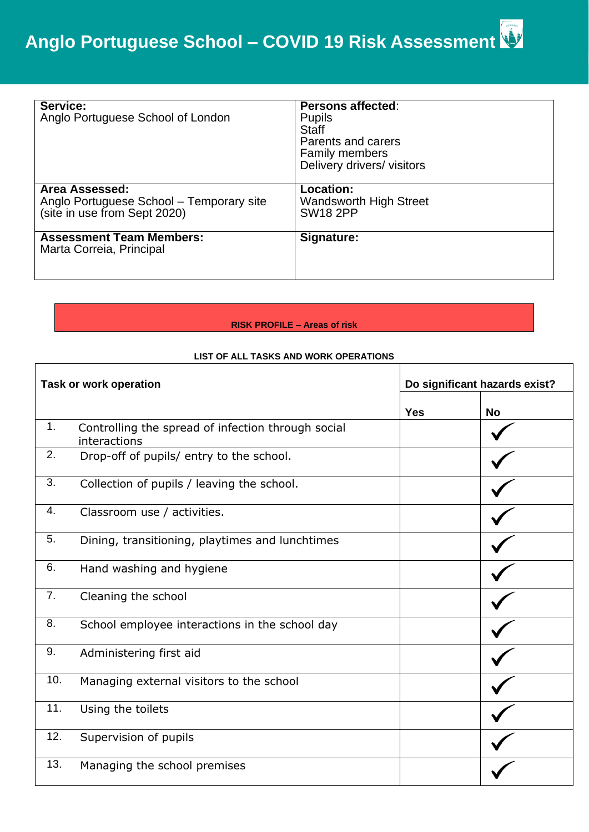| Service:<br>Anglo Portuguese School of London                                              | <b>Persons affected:</b><br><b>Pupils</b><br><b>Staff</b><br>Parents and carers<br><b>Family members</b><br>Delivery drivers/visitors |
|--------------------------------------------------------------------------------------------|---------------------------------------------------------------------------------------------------------------------------------------|
| Area Assessed:<br>Anglo Portuguese School - Temporary site<br>(site in use from Sept 2020) | <b>Location:</b><br><b>Wandsworth High Street</b><br><b>SW18 2PP</b>                                                                  |
| <b>Assessment Team Members:</b><br>Marta Correia, Principal                                | Signature:                                                                                                                            |

## **RISK PROFILE – Areas of risk**

## **LIST OF ALL TASKS AND WORK OPERATIONS**

|     | <b>Task or work operation</b>                                      |            | Do significant hazards exist? |  |  |  |
|-----|--------------------------------------------------------------------|------------|-------------------------------|--|--|--|
|     |                                                                    | <b>Yes</b> | <b>No</b>                     |  |  |  |
| 1.  | Controlling the spread of infection through social<br>interactions |            |                               |  |  |  |
| 2.  | Drop-off of pupils/ entry to the school.                           |            |                               |  |  |  |
| 3.  | Collection of pupils / leaving the school.                         |            |                               |  |  |  |
| 4.  | Classroom use / activities.                                        |            |                               |  |  |  |
| 5.  | Dining, transitioning, playtimes and lunchtimes                    |            |                               |  |  |  |
| 6.  | Hand washing and hygiene                                           |            |                               |  |  |  |
| 7.  | Cleaning the school                                                |            |                               |  |  |  |
| 8.  | School employee interactions in the school day                     |            |                               |  |  |  |
| 9.  | Administering first aid                                            |            |                               |  |  |  |
| 10. | Managing external visitors to the school                           |            |                               |  |  |  |
| 11. | Using the toilets                                                  |            |                               |  |  |  |
| 12. | Supervision of pupils                                              |            |                               |  |  |  |
| 13. | Managing the school premises                                       |            |                               |  |  |  |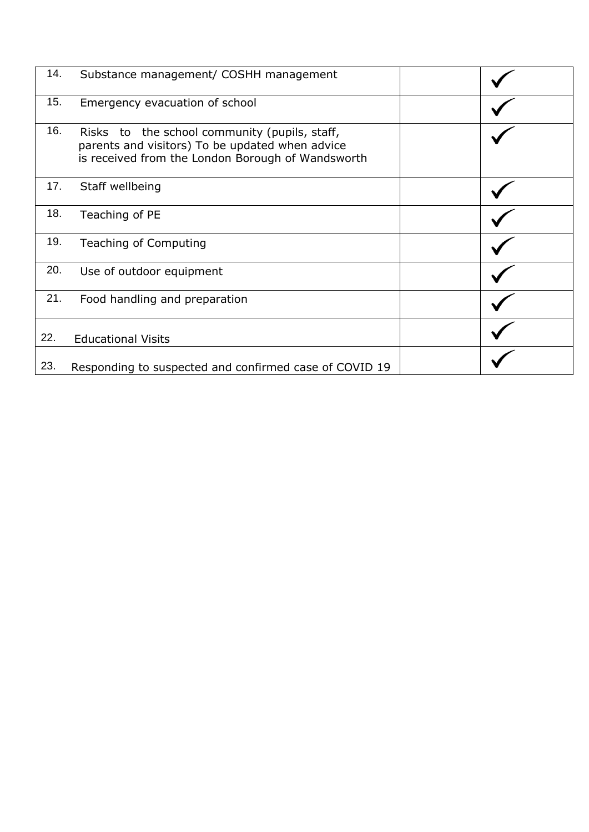| 14. | Substance management/ COSHH management                                                                                                                |  |
|-----|-------------------------------------------------------------------------------------------------------------------------------------------------------|--|
| 15. | Emergency evacuation of school                                                                                                                        |  |
| 16. | Risks to the school community (pupils, staff,<br>parents and visitors) To be updated when advice<br>is received from the London Borough of Wandsworth |  |
| 17. | Staff wellbeing                                                                                                                                       |  |
| 18. | Teaching of PE                                                                                                                                        |  |
| 19. | Teaching of Computing                                                                                                                                 |  |
| 20. | Use of outdoor equipment                                                                                                                              |  |
| 21. | Food handling and preparation                                                                                                                         |  |
| 22. | <b>Educational Visits</b>                                                                                                                             |  |
| 23. | Responding to suspected and confirmed case of COVID 19                                                                                                |  |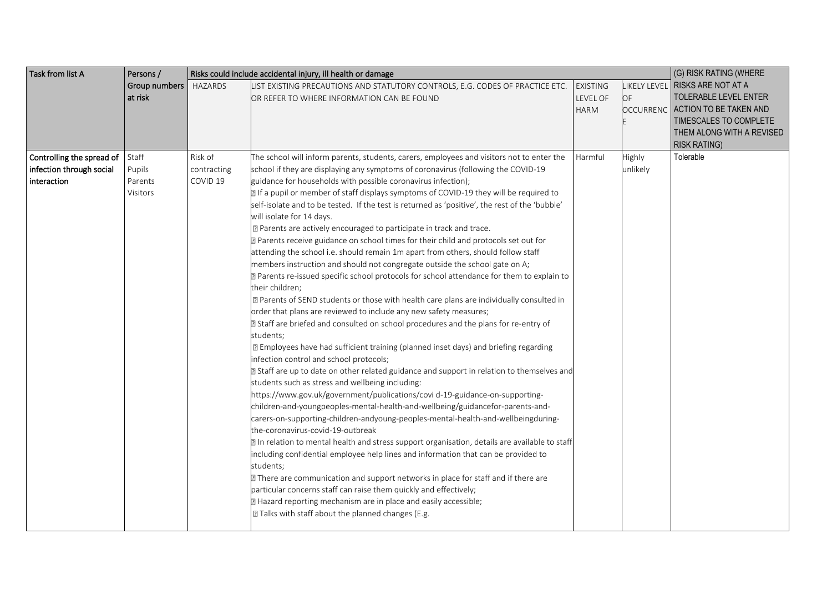| Task from list A          | Persons /<br>Risks could include accidental injury, ill health or damage |                |                                                                                                                                                                                                                                                                                                                                                                                                                                                                                                                                                                                                                                                                                                                                                                                                                                                                                                                                                                                                                                                                                                                                                                                                                                                                                                                                                                                                                                                                                                                                                                                                                                                                                                                                                                                                                                                                                                                                                                                                                                                                                                             |                                            |                        | (G) RISK RATING (WHERE                                                                                                                                           |
|---------------------------|--------------------------------------------------------------------------|----------------|-------------------------------------------------------------------------------------------------------------------------------------------------------------------------------------------------------------------------------------------------------------------------------------------------------------------------------------------------------------------------------------------------------------------------------------------------------------------------------------------------------------------------------------------------------------------------------------------------------------------------------------------------------------------------------------------------------------------------------------------------------------------------------------------------------------------------------------------------------------------------------------------------------------------------------------------------------------------------------------------------------------------------------------------------------------------------------------------------------------------------------------------------------------------------------------------------------------------------------------------------------------------------------------------------------------------------------------------------------------------------------------------------------------------------------------------------------------------------------------------------------------------------------------------------------------------------------------------------------------------------------------------------------------------------------------------------------------------------------------------------------------------------------------------------------------------------------------------------------------------------------------------------------------------------------------------------------------------------------------------------------------------------------------------------------------------------------------------------------------|--------------------------------------------|------------------------|------------------------------------------------------------------------------------------------------------------------------------------------------------------|
|                           | Group numbers<br>at risk                                                 | <b>HAZARDS</b> | LIST EXISTING PRECAUTIONS AND STATUTORY CONTROLS, E.G. CODES OF PRACTICE ETC.<br>OR REFER TO WHERE INFORMATION CAN BE FOUND                                                                                                                                                                                                                                                                                                                                                                                                                                                                                                                                                                                                                                                                                                                                                                                                                                                                                                                                                                                                                                                                                                                                                                                                                                                                                                                                                                                                                                                                                                                                                                                                                                                                                                                                                                                                                                                                                                                                                                                 | <b>EXISTING</b><br>LEVEL OF<br><b>HARM</b> | OF<br><b>OCCURRENC</b> | LIKELY LEVEL RISKS ARE NOT AT A<br>TOLERABLE LEVEL ENTER<br>ACTION TO BE TAKEN AND<br>TIMESCALES TO COMPLETE<br>THEM ALONG WITH A REVISED<br><b>RISK RATING)</b> |
| Controlling the spread of | Staff                                                                    | Risk of        | The school will inform parents, students, carers, employees and visitors not to enter the                                                                                                                                                                                                                                                                                                                                                                                                                                                                                                                                                                                                                                                                                                                                                                                                                                                                                                                                                                                                                                                                                                                                                                                                                                                                                                                                                                                                                                                                                                                                                                                                                                                                                                                                                                                                                                                                                                                                                                                                                   | Harmful                                    | Highly                 | Tolerable                                                                                                                                                        |
| infection through social  | Pupils                                                                   | contracting    | school if they are displaying any symptoms of coronavirus (following the COVID-19                                                                                                                                                                                                                                                                                                                                                                                                                                                                                                                                                                                                                                                                                                                                                                                                                                                                                                                                                                                                                                                                                                                                                                                                                                                                                                                                                                                                                                                                                                                                                                                                                                                                                                                                                                                                                                                                                                                                                                                                                           |                                            | unlikely               |                                                                                                                                                                  |
|                           |                                                                          |                |                                                                                                                                                                                                                                                                                                                                                                                                                                                                                                                                                                                                                                                                                                                                                                                                                                                                                                                                                                                                                                                                                                                                                                                                                                                                                                                                                                                                                                                                                                                                                                                                                                                                                                                                                                                                                                                                                                                                                                                                                                                                                                             |                                            |                        |                                                                                                                                                                  |
| interaction               | Parents<br>Visitors                                                      | COVID 19       | guidance for households with possible coronavirus infection);<br>If a pupil or member of staff displays symptoms of COVID-19 they will be required to<br>self-isolate and to be tested. If the test is returned as 'positive', the rest of the 'bubble'<br>will isolate for 14 days.<br><sup>2</sup> Parents are actively encouraged to participate in track and trace.<br>a Parents receive guidance on school times for their child and protocols set out for<br>attending the school i.e. should remain 1m apart from others, should follow staff<br>members instruction and should not congregate outside the school gate on A;<br>2 Parents re-issued specific school protocols for school attendance for them to explain to<br>their children;<br>7 Parents of SEND students or those with health care plans are individually consulted in<br>order that plans are reviewed to include any new safety measures;<br>I Staff are briefed and consulted on school procedures and the plans for re-entry of<br>students;<br>sqrt2 Employees have had sufficient training (planned inset days) and briefing regarding<br>infection control and school protocols;<br>a Staff are up to date on other related guidance and support in relation to themselves and<br>students such as stress and wellbeing including:<br>https://www.gov.uk/government/publications/covi d-19-guidance-on-supporting-<br>children-and-youngpeoples-mental-health-and-wellbeing/guidancefor-parents-and-<br>carers-on-supporting-children-andyoung-peoples-mental-health-and-wellbeingduring-<br>the-coronavirus-covid-19-outbreak<br>2 In relation to mental health and stress support organisation, details are available to staff<br>including confidential employee help lines and information that can be provided to<br>students;<br>7 There are communication and support networks in place for staff and if there are<br>particular concerns staff can raise them quickly and effectively;<br>2 Hazard reporting mechanism are in place and easily accessible;<br>[2] Talks with staff about the planned changes (E.g. |                                            |                        |                                                                                                                                                                  |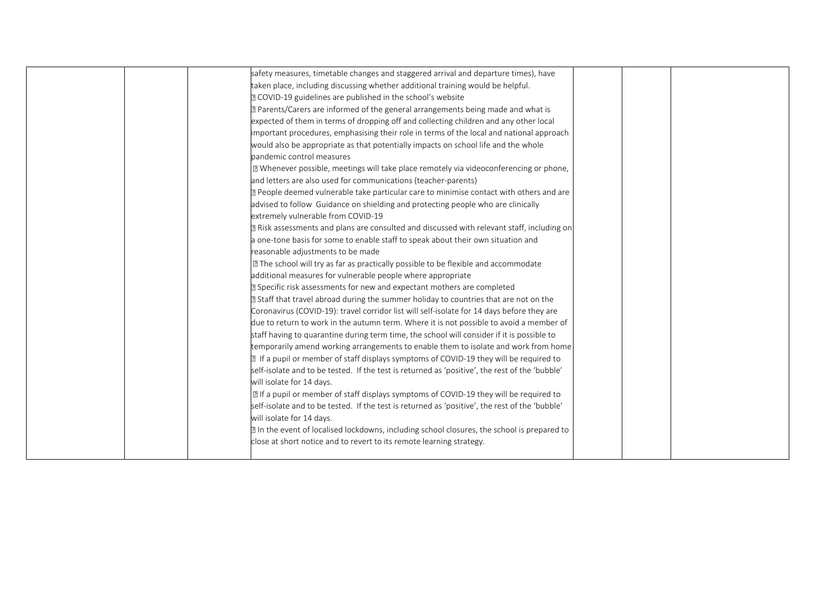|  | safety measures, timetable changes and staggered arrival and departure times), have            |  |
|--|------------------------------------------------------------------------------------------------|--|
|  | taken place, including discussing whether additional training would be helpful.                |  |
|  | 2 COVID-19 guidelines are published in the school's website                                    |  |
|  | 2 Parents/Carers are informed of the general arrangements being made and what is               |  |
|  | expected of them in terms of dropping off and collecting children and any other local          |  |
|  | important procedures, emphasising their role in terms of the local and national approach       |  |
|  | would also be appropriate as that potentially impacts on school life and the whole             |  |
|  | pandemic control measures                                                                      |  |
|  | [2] Whenever possible, meetings will take place remotely via videoconferencing or phone,       |  |
|  | and letters are also used for communications (teacher-parents)                                 |  |
|  | a People deemed vulnerable take particular care to minimise contact with others and are        |  |
|  | advised to follow Guidance on shielding and protecting people who are clinically               |  |
|  | extremely vulnerable from COVID-19                                                             |  |
|  | a Risk assessments and plans are consulted and discussed with relevant staff, including on     |  |
|  | a one-tone basis for some to enable staff to speak about their own situation and               |  |
|  | reasonable adjustments to be made                                                              |  |
|  | I The school will try as far as practically possible to be flexible and accommodate            |  |
|  | additional measures for vulnerable people where appropriate                                    |  |
|  | <b>E</b> Specific risk assessments for new and expectant mothers are completed                 |  |
|  | 2 Staff that travel abroad during the summer holiday to countries that are not on the          |  |
|  | Coronavirus (COVID-19): travel corridor list will self-isolate for 14 days before they are     |  |
|  | due to return to work in the autumn term. Where it is not possible to avoid a member of        |  |
|  | staff having to quarantine during term time, the school will consider if it is possible to     |  |
|  | temporarily amend working arrangements to enable them to isolate and work from home            |  |
|  | 2 If a pupil or member of staff displays symptoms of COVID-19 they will be required to         |  |
|  | self-isolate and to be tested. If the test is returned as 'positive', the rest of the 'bubble' |  |
|  | will isolate for 14 days.                                                                      |  |
|  | If a pupil or member of staff displays symptoms of COVID-19 they will be required to           |  |
|  | self-isolate and to be tested. If the test is returned as 'positive', the rest of the 'bubble' |  |
|  | will isolate for 14 days.                                                                      |  |
|  | a In the event of localised lockdowns, including school closures, the school is prepared to    |  |
|  | close at short notice and to revert to its remote learning strategy.                           |  |
|  |                                                                                                |  |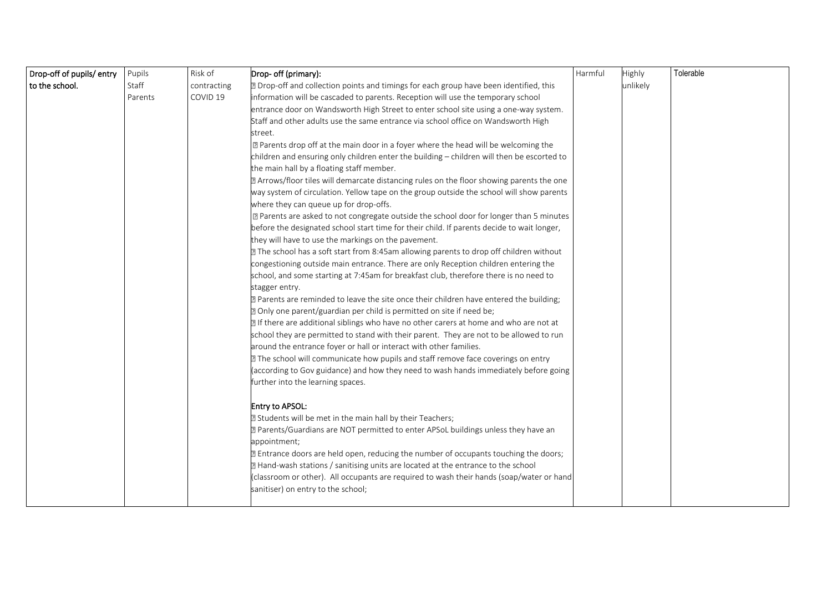| Drop-off of pupils/entry | Pupils  | Risk of     | Drop- off (primary):                                                                       | Harmful | Highly   | Tolerable |
|--------------------------|---------|-------------|--------------------------------------------------------------------------------------------|---------|----------|-----------|
| to the school.           | Staff   | contracting | 7 Drop-off and collection points and timings for each group have been identified, this     |         | unlikely |           |
|                          | Parents | COVID 19    | information will be cascaded to parents. Reception will use the temporary school           |         |          |           |
|                          |         |             | entrance door on Wandsworth High Street to enter school site using a one-way system.       |         |          |           |
|                          |         |             | Staff and other adults use the same entrance via school office on Wandsworth High          |         |          |           |
|                          |         |             | street.                                                                                    |         |          |           |
|                          |         |             | I Parents drop off at the main door in a foyer where the head will be welcoming the        |         |          |           |
|                          |         |             | children and ensuring only children enter the building - children will then be escorted to |         |          |           |
|                          |         |             | the main hall by a floating staff member.                                                  |         |          |           |
|                          |         |             | a Arrows/floor tiles will demarcate distancing rules on the floor showing parents the one  |         |          |           |
|                          |         |             | way system of circulation. Yellow tape on the group outside the school will show parents   |         |          |           |
|                          |         |             | where they can queue up for drop-offs.                                                     |         |          |           |
|                          |         |             | X Parents are asked to not congregate outside the school door for longer than 5 minutes    |         |          |           |
|                          |         |             | before the designated school start time for their child. If parents decide to wait longer, |         |          |           |
|                          |         |             | they will have to use the markings on the pavement.                                        |         |          |           |
|                          |         |             | The school has a soft start from 8:45am allowing parents to drop off children without      |         |          |           |
|                          |         |             | congestioning outside main entrance. There are only Reception children entering the        |         |          |           |
|                          |         |             | school, and some starting at 7:45am for breakfast club, therefore there is no need to      |         |          |           |
|                          |         |             | stagger entry.                                                                             |         |          |           |
|                          |         |             | ? Parents are reminded to leave the site once their children have entered the building;    |         |          |           |
|                          |         |             | 7 Only one parent/guardian per child is permitted on site if need be;                      |         |          |           |
|                          |         |             | If there are additional siblings who have no other carers at home and who are not at       |         |          |           |
|                          |         |             | school they are permitted to stand with their parent. They are not to be allowed to run    |         |          |           |
|                          |         |             | around the entrance foyer or hall or interact with other families.                         |         |          |           |
|                          |         |             | The school will communicate how pupils and staff remove face coverings on entry            |         |          |           |
|                          |         |             | (according to Gov guidance) and how they need to wash hands immediately before going       |         |          |           |
|                          |         |             | further into the learning spaces.                                                          |         |          |           |
|                          |         |             | Entry to APSOL:                                                                            |         |          |           |
|                          |         |             | 2 Students will be met in the main hall by their Teachers;                                 |         |          |           |
|                          |         |             | a Parents/Guardians are NOT permitted to enter APSoL buildings unless they have an         |         |          |           |
|                          |         |             | appointment;                                                                               |         |          |           |
|                          |         |             | Entrance doors are held open, reducing the number of occupants touching the doors;         |         |          |           |
|                          |         |             | 7 Hand-wash stations / sanitising units are located at the entrance to the school          |         |          |           |
|                          |         |             | (classroom or other). All occupants are required to wash their hands (soap/water or hand   |         |          |           |
|                          |         |             | sanitiser) on entry to the school;                                                         |         |          |           |
|                          |         |             |                                                                                            |         |          |           |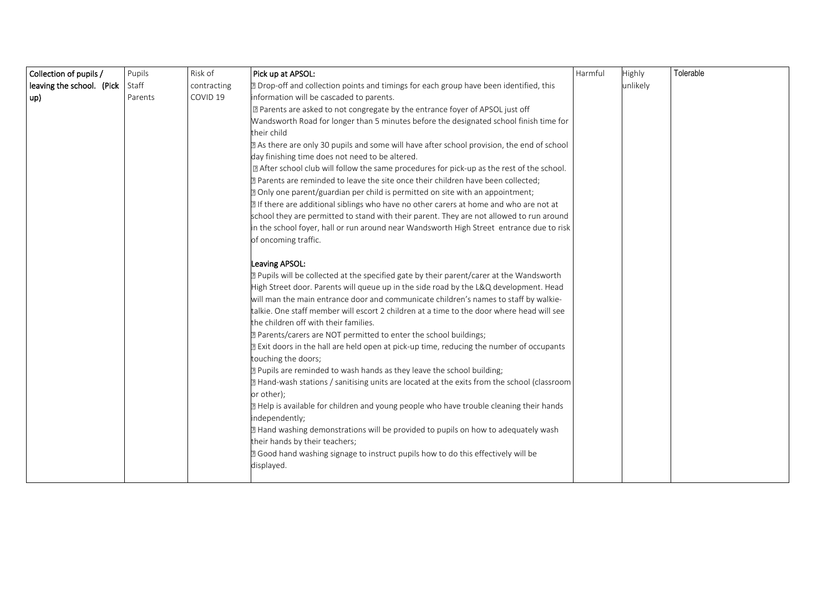| Collection of pupils /    | Pupils  | Risk of             | Pick up at APSOL:                                                                           | Harmful | Highly   | Tolerable |
|---------------------------|---------|---------------------|---------------------------------------------------------------------------------------------|---------|----------|-----------|
| leaving the school. (Pick | Staff   | contracting         | 2 Drop-off and collection points and timings for each group have been identified, this      |         | unlikely |           |
| up)                       | Parents | COVID <sub>19</sub> | information will be cascaded to parents.                                                    |         |          |           |
|                           |         |                     | X Parents are asked to not congregate by the entrance foyer of APSOL just off               |         |          |           |
|                           |         |                     | Wandsworth Road for longer than 5 minutes before the designated school finish time for      |         |          |           |
|                           |         |                     | their child                                                                                 |         |          |           |
|                           |         |                     | a As there are only 30 pupils and some will have after school provision, the end of school  |         |          |           |
|                           |         |                     | day finishing time does not need to be altered.                                             |         |          |           |
|                           |         |                     | I After school club will follow the same procedures for pick-up as the rest of the school.  |         |          |           |
|                           |         |                     | ? Parents are reminded to leave the site once their children have been collected;           |         |          |           |
|                           |         |                     | 2 Only one parent/guardian per child is permitted on site with an appointment;              |         |          |           |
|                           |         |                     | I If there are additional siblings who have no other carers at home and who are not at      |         |          |           |
|                           |         |                     | school they are permitted to stand with their parent. They are not allowed to run around    |         |          |           |
|                           |         |                     | in the school foyer, hall or run around near Wandsworth High Street entrance due to risk    |         |          |           |
|                           |         |                     | of oncoming traffic.                                                                        |         |          |           |
|                           |         |                     | Leaving APSOL:                                                                              |         |          |           |
|                           |         |                     | 7 Pupils will be collected at the specified gate by their parent/carer at the Wandsworth    |         |          |           |
|                           |         |                     | High Street door. Parents will queue up in the side road by the L&Q development. Head       |         |          |           |
|                           |         |                     | will man the main entrance door and communicate children's names to staff by walkie-        |         |          |           |
|                           |         |                     | talkie. One staff member will escort 2 children at a time to the door where head will see   |         |          |           |
|                           |         |                     | the children off with their families.                                                       |         |          |           |
|                           |         |                     | 2 Parents/carers are NOT permitted to enter the school buildings;                           |         |          |           |
|                           |         |                     | 2 Exit doors in the hall are held open at pick-up time, reducing the number of occupants    |         |          |           |
|                           |         |                     | touching the doors;                                                                         |         |          |           |
|                           |         |                     | 2 Pupils are reminded to wash hands as they leave the school building;                      |         |          |           |
|                           |         |                     | 7 Hand-wash stations / sanitising units are located at the exits from the school (classroom |         |          |           |
|                           |         |                     | or other);                                                                                  |         |          |           |
|                           |         |                     | a Help is available for children and young people who have trouble cleaning their hands     |         |          |           |
|                           |         |                     | independently;                                                                              |         |          |           |
|                           |         |                     | a Hand washing demonstrations will be provided to pupils on how to adequately wash          |         |          |           |
|                           |         |                     | their hands by their teachers;                                                              |         |          |           |
|                           |         |                     | a Good hand washing signage to instruct pupils how to do this effectively will be           |         |          |           |
|                           |         |                     | displayed.                                                                                  |         |          |           |
|                           |         |                     |                                                                                             |         |          |           |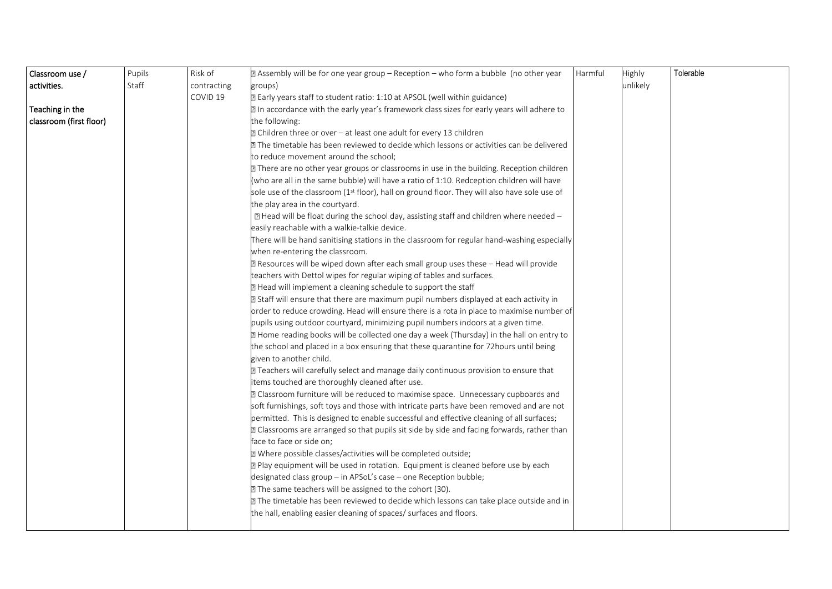| Classroom use /         | Pupils | Risk of             | 2 Assembly will be for one year group - Reception - who form a bubble (no other year         | Harmful | Highly   | Tolerable |
|-------------------------|--------|---------------------|----------------------------------------------------------------------------------------------|---------|----------|-----------|
| activities.             | Staff  | contracting         | groups)                                                                                      |         | unlikely |           |
|                         |        | COVID <sub>19</sub> | 2 Early years staff to student ratio: 1:10 at APSOL (well within guidance)                   |         |          |           |
| Teaching in the         |        |                     | In accordance with the early year's framework class sizes for early years will adhere to     |         |          |           |
| classroom (first floor) |        |                     | the following:                                                                               |         |          |           |
|                         |        |                     | 2 Children three or over - at least one adult for every 13 children                          |         |          |           |
|                         |        |                     | 2 The timetable has been reviewed to decide which lessons or activities can be delivered     |         |          |           |
|                         |        |                     | to reduce movement around the school;                                                        |         |          |           |
|                         |        |                     | 77 There are no other year groups or classrooms in use in the building. Reception children   |         |          |           |
|                         |        |                     | (who are all in the same bubble) will have a ratio of 1:10. Redception children will have    |         |          |           |
|                         |        |                     | sole use of the classroom (1st floor), hall on ground floor. They will also have sole use of |         |          |           |
|                         |        |                     | the play area in the courtyard.                                                              |         |          |           |
|                         |        |                     | 2 Head will be float during the school day, assisting staff and children where needed -      |         |          |           |
|                         |        |                     | easily reachable with a walkie-talkie device.                                                |         |          |           |
|                         |        |                     | There will be hand sanitising stations in the classroom for regular hand-washing especially  |         |          |           |
|                         |        |                     | when re-entering the classroom.                                                              |         |          |           |
|                         |        |                     | a Resources will be wiped down after each small group uses these - Head will provide         |         |          |           |
|                         |        |                     | teachers with Dettol wipes for regular wiping of tables and surfaces.                        |         |          |           |
|                         |        |                     | 2 Head will implement a cleaning schedule to support the staff                               |         |          |           |
|                         |        |                     | 2 Staff will ensure that there are maximum pupil numbers displayed at each activity in       |         |          |           |
|                         |        |                     | order to reduce crowding. Head will ensure there is a rota in place to maximise number of    |         |          |           |
|                         |        |                     | pupils using outdoor courtyard, minimizing pupil numbers indoors at a given time.            |         |          |           |
|                         |        |                     | I Home reading books will be collected one day a week (Thursday) in the hall on entry to     |         |          |           |
|                         |        |                     | the school and placed in a box ensuring that these quarantine for 72 hours until being       |         |          |           |
|                         |        |                     | given to another child.                                                                      |         |          |           |
|                         |        |                     | <b>Teachers will carefully select and manage daily continuous provision to ensure that</b>   |         |          |           |
|                         |        |                     | items touched are thoroughly cleaned after use.                                              |         |          |           |
|                         |        |                     | 2 Classroom furniture will be reduced to maximise space. Unnecessary cupboards and           |         |          |           |
|                         |        |                     | soft furnishings, soft toys and those with intricate parts have been removed and are not     |         |          |           |
|                         |        |                     | permitted. This is designed to enable successful and effective cleaning of all surfaces;     |         |          |           |
|                         |        |                     | a Classrooms are arranged so that pupils sit side by side and facing forwards, rather than   |         |          |           |
|                         |        |                     | face to face or side on;                                                                     |         |          |           |
|                         |        |                     | 2 Where possible classes/activities will be completed outside;                               |         |          |           |
|                         |        |                     | a Play equipment will be used in rotation. Equipment is cleaned before use by each           |         |          |           |
|                         |        |                     | designated class group - in APSoL's case - one Reception bubble;                             |         |          |           |
|                         |        |                     | 2 The same teachers will be assigned to the cohort (30).                                     |         |          |           |
|                         |        |                     | 2 The timetable has been reviewed to decide which lessons can take place outside and in      |         |          |           |
|                         |        |                     | the hall, enabling easier cleaning of spaces/ surfaces and floors.                           |         |          |           |
|                         |        |                     |                                                                                              |         |          |           |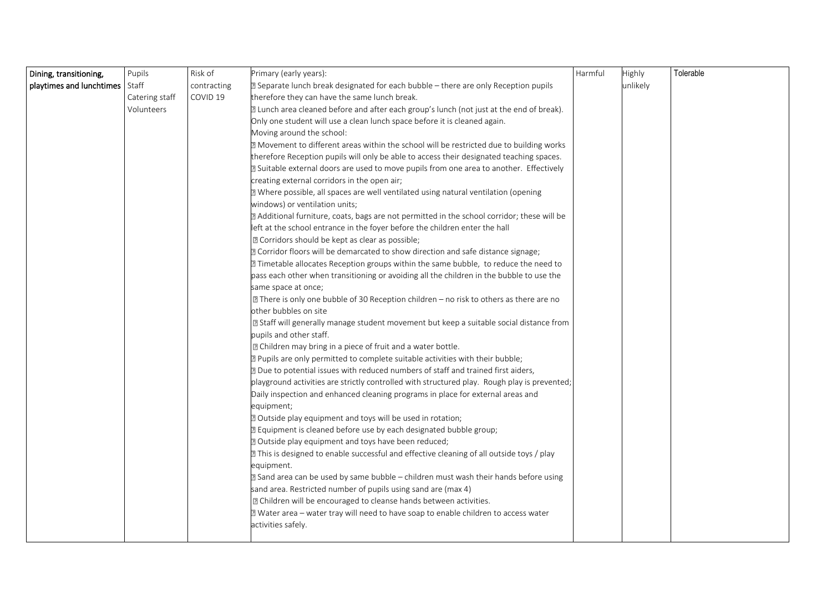| Dining, transitioning,   | Pupils         | Risk of     | Primary (early years):                                                                            | Harmful | Highly   | Tolerable |
|--------------------------|----------------|-------------|---------------------------------------------------------------------------------------------------|---------|----------|-----------|
| playtimes and lunchtimes | Staff          | contracting | <b>2</b> Separate lunch break designated for each bubble – there are only Reception pupils        |         | unlikely |           |
|                          | Catering staff | COVID 19    | therefore they can have the same lunch break.                                                     |         |          |           |
|                          | Volunteers     |             | I Lunch area cleaned before and after each group's lunch (not just at the end of break).          |         |          |           |
|                          |                |             | Only one student will use a clean lunch space before it is cleaned again.                         |         |          |           |
|                          |                |             | Moving around the school:                                                                         |         |          |           |
|                          |                |             | 2 Movement to different areas within the school will be restricted due to building works          |         |          |           |
|                          |                |             | therefore Reception pupils will only be able to access their designated teaching spaces.          |         |          |           |
|                          |                |             | 2 Suitable external doors are used to move pupils from one area to another. Effectively           |         |          |           |
|                          |                |             | creating external corridors in the open air;                                                      |         |          |           |
|                          |                |             | a Where possible, all spaces are well ventilated using natural ventilation (opening               |         |          |           |
|                          |                |             | windows) or ventilation units;                                                                    |         |          |           |
|                          |                |             | a Additional furniture, coats, bags are not permitted in the school corridor; these will be       |         |          |           |
|                          |                |             | left at the school entrance in the foyer before the children enter the hall                       |         |          |           |
|                          |                |             | <sup>2</sup> Corridors should be kept as clear as possible;                                       |         |          |           |
|                          |                |             | ? Corridor floors will be demarcated to show direction and safe distance signage;                 |         |          |           |
|                          |                |             | 7 Timetable allocates Reception groups within the same bubble, to reduce the need to              |         |          |           |
|                          |                |             | pass each other when transitioning or avoiding all the children in the bubble to use the          |         |          |           |
|                          |                |             | same space at once;                                                                               |         |          |           |
|                          |                |             | $\boxed{2}$ There is only one bubble of 30 Reception children – no risk to others as there are no |         |          |           |
|                          |                |             | other bubbles on site                                                                             |         |          |           |
|                          |                |             | 2 Staff will generally manage student movement but keep a suitable social distance from           |         |          |           |
|                          |                |             | pupils and other staff.                                                                           |         |          |           |
|                          |                |             | I Children may bring in a piece of fruit and a water bottle.                                      |         |          |           |
|                          |                |             | ? Pupils are only permitted to complete suitable activities with their bubble;                    |         |          |           |
|                          |                |             | ? Due to potential issues with reduced numbers of staff and trained first aiders,                 |         |          |           |
|                          |                |             | playground activities are strictly controlled with structured play. Rough play is prevented;      |         |          |           |
|                          |                |             | Daily inspection and enhanced cleaning programs in place for external areas and                   |         |          |           |
|                          |                |             | equipment;                                                                                        |         |          |           |
|                          |                |             | 2 Outside play equipment and toys will be used in rotation;                                       |         |          |           |
|                          |                |             | 2 Equipment is cleaned before use by each designated bubble group;                                |         |          |           |
|                          |                |             | 2 Outside play equipment and toys have been reduced;                                              |         |          |           |
|                          |                |             | 7 This is designed to enable successful and effective cleaning of all outside toys / play         |         |          |           |
|                          |                |             | equipment.                                                                                        |         |          |           |
|                          |                |             | 2 Sand area can be used by same bubble – children must wash their hands before using              |         |          |           |
|                          |                |             | sand area. Restricted number of pupils using sand are (max 4)                                     |         |          |           |
|                          |                |             | <b>Z</b> Children will be encouraged to cleanse hands between activities.                         |         |          |           |
|                          |                |             | I Water area - water tray will need to have soap to enable children to access water               |         |          |           |
|                          |                |             | activities safely.                                                                                |         |          |           |
|                          |                |             |                                                                                                   |         |          |           |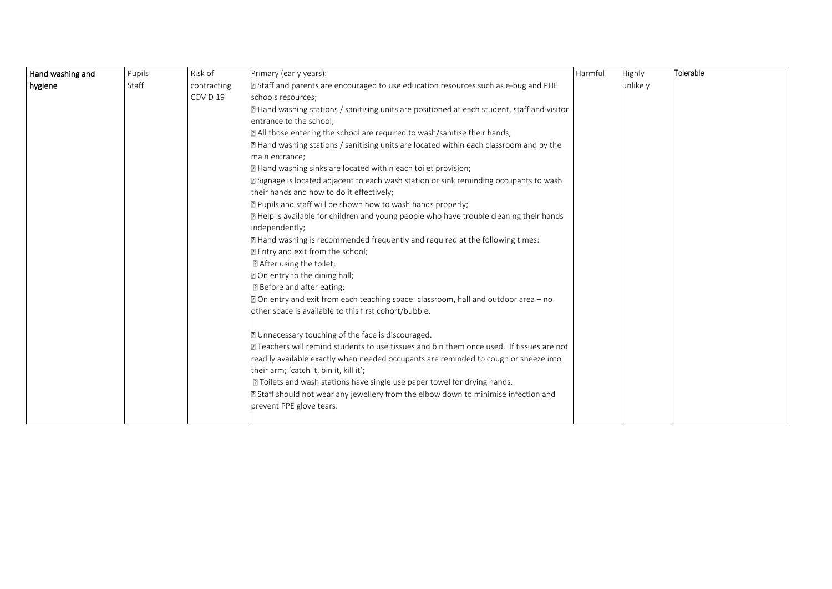| Hand washing and | Pupils | Risk of             | Primary (early years):                                                                       | Harmful | Highly   | Tolerable |
|------------------|--------|---------------------|----------------------------------------------------------------------------------------------|---------|----------|-----------|
| hygiene          | Staff  | contracting         | 2 Staff and parents are encouraged to use education resources such as e-bug and PHE          |         | unlikely |           |
|                  |        | COVID <sub>19</sub> | schools resources;                                                                           |         |          |           |
|                  |        |                     | 2 Hand washing stations / sanitising units are positioned at each student, staff and visitor |         |          |           |
|                  |        |                     | entrance to the school;                                                                      |         |          |           |
|                  |        |                     | a All those entering the school are required to wash/sanitise their hands;                   |         |          |           |
|                  |        |                     | 2 Hand washing stations / sanitising units are located within each classroom and by the      |         |          |           |
|                  |        |                     | main entrance:                                                                               |         |          |           |
|                  |        |                     | 2 Hand washing sinks are located within each toilet provision;                               |         |          |           |
|                  |        |                     | 2 Signage is located adjacent to each wash station or sink reminding occupants to wash       |         |          |           |
|                  |        |                     | their hands and how to do it effectively;                                                    |         |          |           |
|                  |        |                     | ? Pupils and staff will be shown how to wash hands properly;                                 |         |          |           |
|                  |        |                     | sqrt2 Help is available for children and young people who have trouble cleaning their hands  |         |          |           |
|                  |        |                     | independently;                                                                               |         |          |           |
|                  |        |                     | 2 Hand washing is recommended frequently and required at the following times:                |         |          |           |
|                  |        |                     | 2 Entry and exit from the school;                                                            |         |          |           |
|                  |        |                     | <b>Z</b> After using the toilet;                                                             |         |          |           |
|                  |        |                     | 2 On entry to the dining hall;                                                               |         |          |           |
|                  |        |                     | <b>Z</b> Before and after eating;                                                            |         |          |           |
|                  |        |                     | 2 On entry and exit from each teaching space: classroom, hall and outdoor area – no          |         |          |           |
|                  |        |                     | other space is available to this first cohort/bubble.                                        |         |          |           |
|                  |        |                     | 2 Unnecessary touching of the face is discouraged.                                           |         |          |           |
|                  |        |                     | ⊠ Teachers will remind students to use tissues and bin them once used. If tissues are not    |         |          |           |
|                  |        |                     | readily available exactly when needed occupants are reminded to cough or sneeze into         |         |          |           |
|                  |        |                     | their arm; 'catch it, bin it, kill it';                                                      |         |          |           |
|                  |        |                     | <b>Z</b> Toilets and wash stations have single use paper towel for drying hands.             |         |          |           |
|                  |        |                     | 2 Staff should not wear any jewellery from the elbow down to minimise infection and          |         |          |           |
|                  |        |                     | prevent PPE glove tears.                                                                     |         |          |           |
|                  |        |                     |                                                                                              |         |          |           |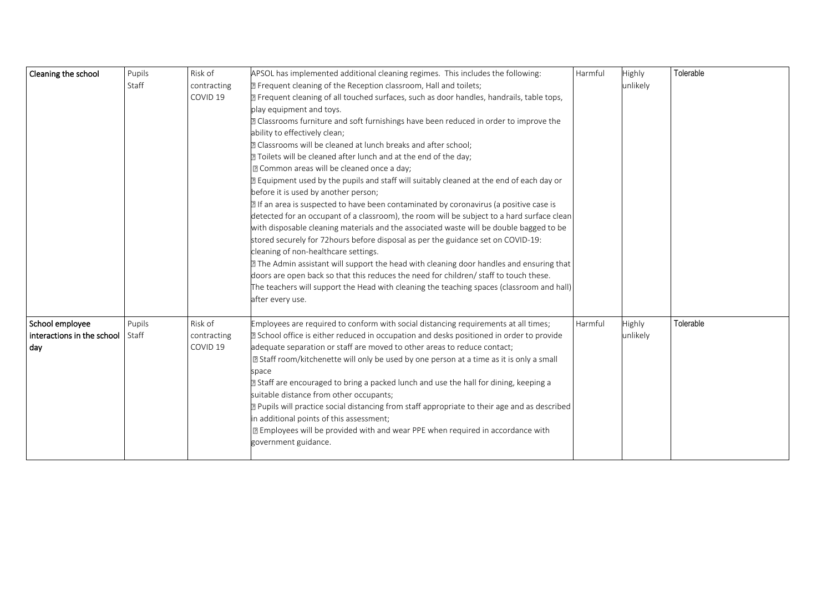| Cleaning the school        | Pupils | Risk of             | APSOL has implemented additional cleaning regimes. This includes the following:               | Harmful | Highly   | Tolerable |
|----------------------------|--------|---------------------|-----------------------------------------------------------------------------------------------|---------|----------|-----------|
|                            | Staff  | contracting         | 2 Frequent cleaning of the Reception classroom, Hall and toilets;                             |         | unlikely |           |
|                            |        | COVID 19            | 2 Frequent cleaning of all touched surfaces, such as door handles, handrails, table tops,     |         |          |           |
|                            |        |                     | play equipment and toys.                                                                      |         |          |           |
|                            |        |                     | a Classrooms furniture and soft furnishings have been reduced in order to improve the         |         |          |           |
|                            |        |                     | ability to effectively clean;                                                                 |         |          |           |
|                            |        |                     | <sup>2</sup> Classrooms will be cleaned at lunch breaks and after school;                     |         |          |           |
|                            |        |                     | 77 Toilets will be cleaned after lunch and at the end of the day;                             |         |          |           |
|                            |        |                     | X Common areas will be cleaned once a day;                                                    |         |          |           |
|                            |        |                     | 2 Equipment used by the pupils and staff will suitably cleaned at the end of each day or      |         |          |           |
|                            |        |                     | before it is used by another person;                                                          |         |          |           |
|                            |        |                     | 2 If an area is suspected to have been contaminated by coronavirus (a positive case is        |         |          |           |
|                            |        |                     | detected for an occupant of a classroom), the room will be subject to a hard surface clean    |         |          |           |
|                            |        |                     | with disposable cleaning materials and the associated waste will be double bagged to be       |         |          |           |
|                            |        |                     | stored securely for 72hours before disposal as per the guidance set on COVID-19:              |         |          |           |
|                            |        |                     | cleaning of non-healthcare settings.                                                          |         |          |           |
|                            |        |                     | 2 The Admin assistant will support the head with cleaning door handles and ensuring that      |         |          |           |
|                            |        |                     | doors are open back so that this reduces the need for children/ staff to touch these.         |         |          |           |
|                            |        |                     | The teachers will support the Head with cleaning the teaching spaces (classroom and hall)     |         |          |           |
|                            |        |                     | after every use.                                                                              |         |          |           |
| School employee            | Pupils | Risk of             | Employees are required to conform with social distancing requirements at all times;           | Harmful | Highly   | Tolerable |
| interactions in the school | Staff  | contracting         | 2 School office is either reduced in occupation and desks positioned in order to provide      |         | unlikely |           |
|                            |        | COVID <sub>19</sub> | adequate separation or staff are moved to other areas to reduce contact;                      |         |          |           |
| day                        |        |                     | ■ Staff room/kitchenette will only be used by one person at a time as it is only a small      |         |          |           |
|                            |        |                     | space                                                                                         |         |          |           |
|                            |        |                     | 2 Staff are encouraged to bring a packed lunch and use the hall for dining, keeping a         |         |          |           |
|                            |        |                     | suitable distance from other occupants;                                                       |         |          |           |
|                            |        |                     | 2 Pupils will practice social distancing from staff appropriate to their age and as described |         |          |           |
|                            |        |                     | in additional points of this assessment;                                                      |         |          |           |
|                            |        |                     | <b>If</b> Employees will be provided with and wear PPE when required in accordance with       |         |          |           |
|                            |        |                     | government guidance.                                                                          |         |          |           |
|                            |        |                     |                                                                                               |         |          |           |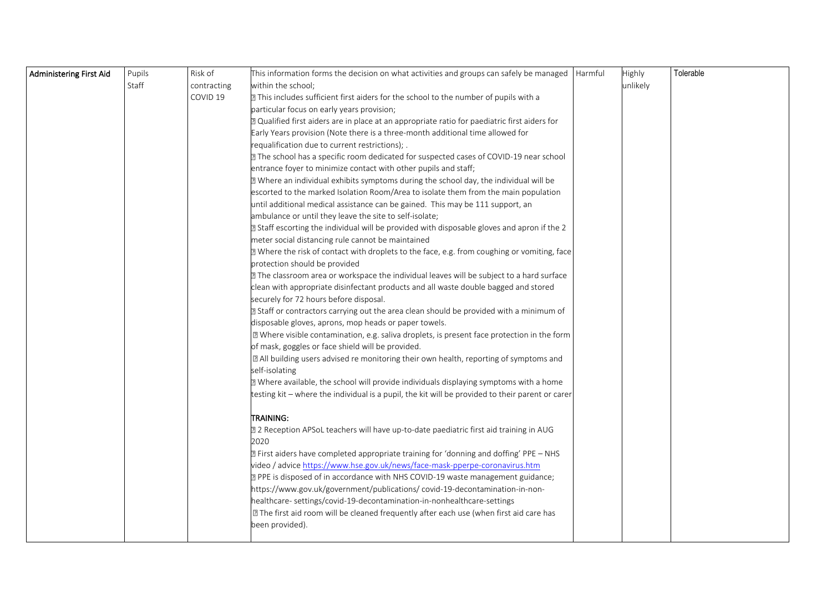| Administering First Aid | Pupils | Risk of     | This information forms the decision on what activities and groups can safely be managed $\vert$ Harmful | Highly   | Tolerable |
|-------------------------|--------|-------------|---------------------------------------------------------------------------------------------------------|----------|-----------|
|                         | Staff  | contracting | within the school;                                                                                      | unlikely |           |
|                         |        | COVID 19    | 77 This includes sufficient first aiders for the school to the number of pupils with a                  |          |           |
|                         |        |             | particular focus on early years provision;                                                              |          |           |
|                         |        |             | 2 Qualified first aiders are in place at an appropriate ratio for paediatric first aiders for           |          |           |
|                         |        |             | Early Years provision (Note there is a three-month additional time allowed for                          |          |           |
|                         |        |             | requalification due to current restrictions); .                                                         |          |           |
|                         |        |             | 7 The school has a specific room dedicated for suspected cases of COVID-19 near school                  |          |           |
|                         |        |             | entrance foyer to minimize contact with other pupils and staff;                                         |          |           |
|                         |        |             | <b>Z</b> Where an individual exhibits symptoms during the school day, the individual will be            |          |           |
|                         |        |             | escorted to the marked Isolation Room/Area to isolate them from the main population                     |          |           |
|                         |        |             | until additional medical assistance can be gained. This may be 111 support, an                          |          |           |
|                         |        |             | ambulance or until they leave the site to self-isolate;                                                 |          |           |
|                         |        |             | 2 Staff escorting the individual will be provided with disposable gloves and apron if the 2             |          |           |
|                         |        |             | meter social distancing rule cannot be maintained                                                       |          |           |
|                         |        |             | 72 Where the risk of contact with droplets to the face, e.g. from coughing or vomiting, face            |          |           |
|                         |        |             | protection should be provided                                                                           |          |           |
|                         |        |             | 2 The classroom area or workspace the individual leaves will be subject to a hard surface               |          |           |
|                         |        |             | clean with appropriate disinfectant products and all waste double bagged and stored                     |          |           |
|                         |        |             | securely for 72 hours before disposal.                                                                  |          |           |
|                         |        |             | 2 Staff or contractors carrying out the area clean should be provided with a minimum of                 |          |           |
|                         |        |             | disposable gloves, aprons, mop heads or paper towels.                                                   |          |           |
|                         |        |             | I Where visible contamination, e.g. saliva droplets, is present face protection in the form             |          |           |
|                         |        |             | of mask, goggles or face shield will be provided.                                                       |          |           |
|                         |        |             | all building users advised re monitoring their own health, reporting of symptoms and                    |          |           |
|                         |        |             | self-isolating                                                                                          |          |           |
|                         |        |             | I Where available, the school will provide individuals displaying symptoms with a home                  |          |           |
|                         |        |             | testing kit – where the individual is a pupil, the kit will be provided to their parent or carer        |          |           |
|                         |        |             | ITRAINING:                                                                                              |          |           |
|                         |        |             | 2 2 Reception APSoL teachers will have up-to-date paediatric first aid training in AUG                  |          |           |
|                         |        |             | 2020                                                                                                    |          |           |
|                         |        |             | <b>E</b> First aiders have completed appropriate training for 'donning and doffing' PPE - NHS           |          |           |
|                         |        |             | video / advice https://www.hse.gov.uk/news/face-mask-pperpe-coronavirus.htm                             |          |           |
|                         |        |             | 2 PPE is disposed of in accordance with NHS COVID-19 waste management guidance;                         |          |           |
|                         |        |             | https://www.gov.uk/government/publications/covid-19-decontamination-in-non-                             |          |           |
|                         |        |             | healthcare-settings/covid-19-decontamination-in-nonhealthcare-settings                                  |          |           |
|                         |        |             | I The first aid room will be cleaned frequently after each use (when first aid care has                 |          |           |
|                         |        |             | been provided).                                                                                         |          |           |
|                         |        |             |                                                                                                         |          |           |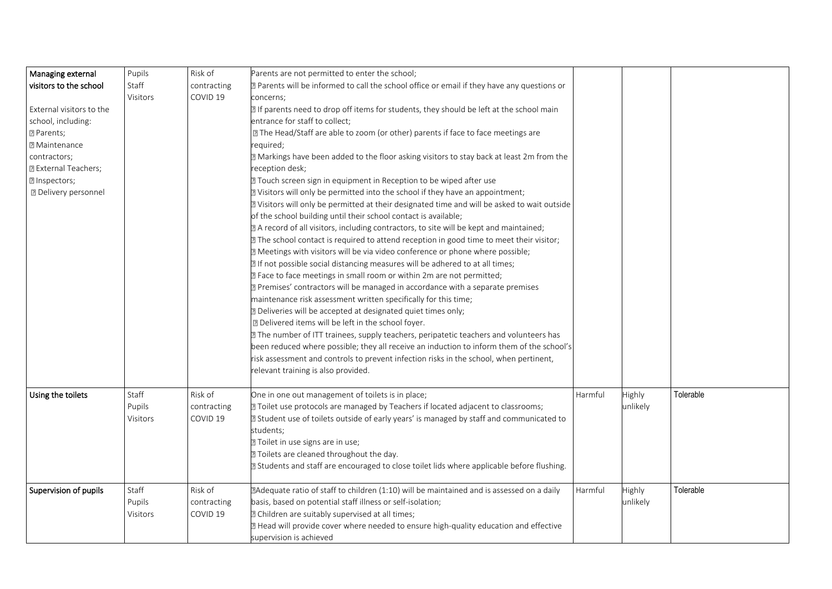| Managing external           | Pupils   | Risk of             | Parents are not permitted to enter the school;                                                |         |          |           |
|-----------------------------|----------|---------------------|-----------------------------------------------------------------------------------------------|---------|----------|-----------|
| visitors to the school      | Staff    | contracting         | 2 Parents will be informed to call the school office or email if they have any questions or   |         |          |           |
|                             | Visitors | COVID 19            | concerns;                                                                                     |         |          |           |
| External visitors to the    |          |                     | I If parents need to drop off items for students, they should be left at the school main      |         |          |           |
| school, including:          |          |                     | entrance for staff to collect;                                                                |         |          |           |
| <b>2 Parents;</b>           |          |                     | I The Head/Staff are able to zoom (or other) parents if face to face meetings are             |         |          |           |
| <b>7 Maintenance</b>        |          |                     | required;                                                                                     |         |          |           |
| contractors;                |          |                     | 2 Markings have been added to the floor asking visitors to stay back at least 2m from the     |         |          |           |
| <b>Z</b> External Teachers; |          |                     | reception desk;                                                                               |         |          |           |
| <b>7</b> Inspectors;        |          |                     | 7 Touch screen sign in equipment in Reception to be wiped after use                           |         |          |           |
| <b>2</b> Delivery personnel |          |                     | 2 Visitors will only be permitted into the school if they have an appointment;                |         |          |           |
|                             |          |                     | 2 Visitors will only be permitted at their designated time and will be asked to wait outside  |         |          |           |
|                             |          |                     | of the school building until their school contact is available;                               |         |          |           |
|                             |          |                     | 2 A record of all visitors, including contractors, to site will be kept and maintained;       |         |          |           |
|                             |          |                     | 7 The school contact is required to attend reception in good time to meet their visitor;      |         |          |           |
|                             |          |                     | 2 Meetings with visitors will be via video conference or phone where possible;                |         |          |           |
|                             |          |                     | 7 If not possible social distancing measures will be adhered to at all times;                 |         |          |           |
|                             |          |                     | There to face meetings in small room or within 2m are not permitted;                          |         |          |           |
|                             |          |                     | Premises' contractors will be managed in accordance with a separate premises                  |         |          |           |
|                             |          |                     | maintenance risk assessment written specifically for this time;                               |         |          |           |
|                             |          |                     | 2 Deliveries will be accepted at designated quiet times only;                                 |         |          |           |
|                             |          |                     | <b>D</b> Delivered items will be left in the school foyer.                                    |         |          |           |
|                             |          |                     | <b>2</b> The number of ITT trainees, supply teachers, peripatetic teachers and volunteers has |         |          |           |
|                             |          |                     | been reduced where possible; they all receive an induction to inform them of the school's     |         |          |           |
|                             |          |                     | risk assessment and controls to prevent infection risks in the school, when pertinent,        |         |          |           |
|                             |          |                     | relevant training is also provided.                                                           |         |          |           |
|                             |          |                     |                                                                                               |         |          |           |
| Using the toilets           | Staff    | Risk of             | One in one out management of toilets is in place;                                             | Harmful | Highly   | Tolerable |
|                             | Pupils   | contracting         | Toilet use protocols are managed by Teachers if located adjacent to classrooms;               |         | unlikely |           |
|                             | Visitors | COVID <sub>19</sub> | 2 Student use of toilets outside of early years' is managed by staff and communicated to      |         |          |           |
|                             |          |                     | students;                                                                                     |         |          |           |
|                             |          |                     | ? Toilet in use signs are in use;                                                             |         |          |           |
|                             |          |                     | 2 Toilets are cleaned throughout the day.                                                     |         |          |           |
|                             |          |                     | 2 Students and staff are encouraged to close toilet lids where applicable before flushing.    |         |          |           |
| Supervision of pupils       | Staff    | Risk of             | 2Adequate ratio of staff to children (1:10) will be maintained and is assessed on a daily     | Harmful | Highly   | Tolerable |
|                             | Pupils   | contracting         | basis, based on potential staff illness or self-isolation;                                    |         | unlikely |           |
|                             | Visitors | COVID 19            | 2 Children are suitably supervised at all times;                                              |         |          |           |
|                             |          |                     | 2 Head will provide cover where needed to ensure high-quality education and effective         |         |          |           |
|                             |          |                     | supervision is achieved                                                                       |         |          |           |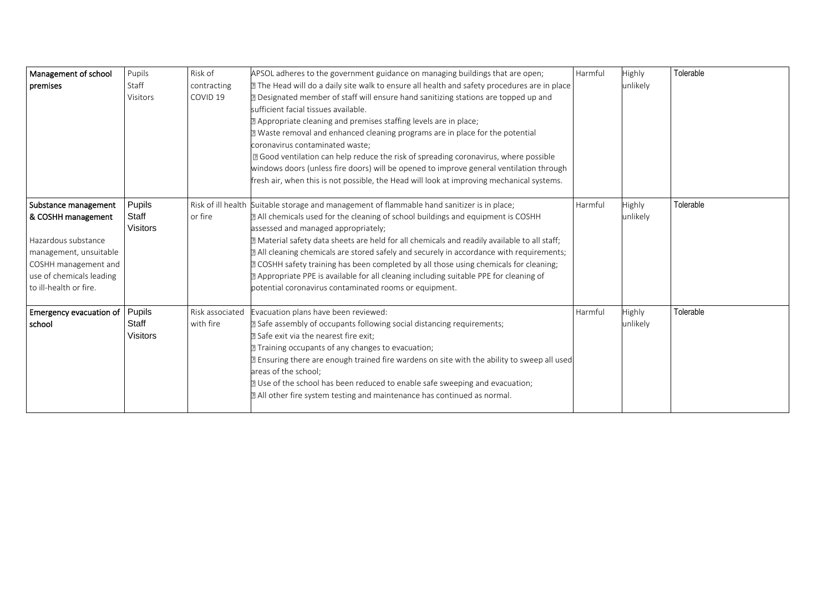| Management of school           | Pupils          | Risk of             | APSOL adheres to the government guidance on managing buildings that are open;                 | Harmful | Highly        | Tolerable |
|--------------------------------|-----------------|---------------------|-----------------------------------------------------------------------------------------------|---------|---------------|-----------|
| premises                       | Staff           | contracting         | 72 The Head will do a daily site walk to ensure all health and safety procedures are in place |         | unlikely      |           |
|                                | <b>Visitors</b> | COVID <sub>19</sub> | <b>Z</b> Designated member of staff will ensure hand sanitizing stations are topped up and    |         |               |           |
|                                |                 |                     | sufficient facial tissues available.                                                          |         |               |           |
|                                |                 |                     | Appropriate cleaning and premises staffing levels are in place;                               |         |               |           |
|                                |                 |                     | I Waste removal and enhanced cleaning programs are in place for the potential                 |         |               |           |
|                                |                 |                     | coronavirus contaminated waste;                                                               |         |               |           |
|                                |                 |                     | X Good ventilation can help reduce the risk of spreading coronavirus, where possible          |         |               |           |
|                                |                 |                     | windows doors (unless fire doors) will be opened to improve general ventilation through       |         |               |           |
|                                |                 |                     | fresh air, when this is not possible, the Head will look at improving mechanical systems.     |         |               |           |
| Substance management           | Pupils          |                     | Risk of ill health Suitable storage and management of flammable hand sanitizer is in place;   | Harmful | <b>Highly</b> | Tolerable |
| & COSHH management             | Staff           | or fire             | a All chemicals used for the cleaning of school buildings and equipment is COSHH              |         | unlikely      |           |
|                                | <b>Visitors</b> |                     | assessed and managed appropriately;                                                           |         |               |           |
| Hazardous substance            |                 |                     | 7 Material safety data sheets are held for all chemicals and readily available to all staff;  |         |               |           |
| management, unsuitable         |                 |                     | a All cleaning chemicals are stored safely and securely in accordance with requirements;      |         |               |           |
| COSHH management and           |                 |                     | <b>EXECOSHH</b> safety training has been completed by all those using chemicals for cleaning; |         |               |           |
| use of chemicals leading       |                 |                     | a Appropriate PPE is available for all cleaning including suitable PPE for cleaning of        |         |               |           |
| to ill-health or fire.         |                 |                     | potential coronavirus contaminated rooms or equipment.                                        |         |               |           |
| Emergency evacuation of Pupils |                 | Risk associated     | Evacuation plans have been reviewed:                                                          | Harmful | <b>Highly</b> | Tolerable |
| school                         | Staff           | with fire           | 2 Safe assembly of occupants following social distancing requirements;                        |         | unlikely      |           |
|                                | <b>Visitors</b> |                     | 2 Safe exit via the nearest fire exit;                                                        |         |               |           |
|                                |                 |                     | Training occupants of any changes to evacuation;                                              |         |               |           |
|                                |                 |                     | a Ensuring there are enough trained fire wardens on site with the ability to sweep all used   |         |               |           |
|                                |                 |                     | areas of the school;                                                                          |         |               |           |
|                                |                 |                     | 7 Use of the school has been reduced to enable safe sweeping and evacuation;                  |         |               |           |
|                                |                 |                     | a All other fire system testing and maintenance has continued as normal.                      |         |               |           |
|                                |                 |                     |                                                                                               |         |               |           |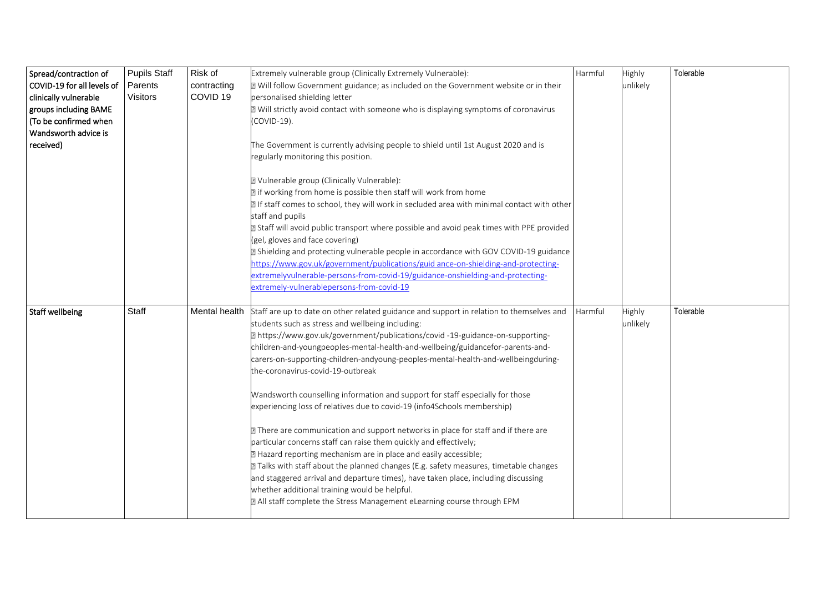| Spread/contraction of      | <b>Pupils Staff</b> | Risk of             | Extremely vulnerable group (Clinically Extremely Vulnerable):                               | Harmful | Highly   | Tolerable |
|----------------------------|---------------------|---------------------|---------------------------------------------------------------------------------------------|---------|----------|-----------|
| COVID-19 for all levels of | Parents             | contracting         | 2 Will follow Government guidance; as included on the Government website or in their        |         | unlikely |           |
| clinically vulnerable      | Visitors            | COVID <sub>19</sub> | personalised shielding letter                                                               |         |          |           |
| groups including BAME      |                     |                     | 2 Will strictly avoid contact with someone who is displaying symptoms of coronavirus        |         |          |           |
| (To be confirmed when      |                     |                     | (COVID-19).                                                                                 |         |          |           |
| Wandsworth advice is       |                     |                     |                                                                                             |         |          |           |
| received)                  |                     |                     | The Government is currently advising people to shield until 1st August 2020 and is          |         |          |           |
|                            |                     |                     | regularly monitoring this position.                                                         |         |          |           |
|                            |                     |                     |                                                                                             |         |          |           |
|                            |                     |                     | 2 Vulnerable group (Clinically Vulnerable):                                                 |         |          |           |
|                            |                     |                     | I if working from home is possible then staff will work from home                           |         |          |           |
|                            |                     |                     | 2 If staff comes to school, they will work in secluded area with minimal contact with other |         |          |           |
|                            |                     |                     | staff and pupils                                                                            |         |          |           |
|                            |                     |                     | 2 Staff will avoid public transport where possible and avoid peak times with PPE provided   |         |          |           |
|                            |                     |                     | (gel, gloves and face covering)                                                             |         |          |           |
|                            |                     |                     | 2 Shielding and protecting vulnerable people in accordance with GOV COVID-19 guidance       |         |          |           |
|                            |                     |                     | https://www.gov.uk/government/publications/guid ance-on-shielding-and-protecting-           |         |          |           |
|                            |                     |                     | extremelyvulnerable-persons-from-covid-19/guidance-onshielding-and-protecting-              |         |          |           |
|                            |                     |                     | extremely-vulnerablepersons-from-covid-19                                                   |         |          |           |
| <b>Staff wellbeing</b>     | Staff               | Mental health       | Staff are up to date on other related guidance and support in relation to themselves and    | Harmful | Highly   | Tolerable |
|                            |                     |                     | students such as stress and wellbeing including:                                            |         | unlikely |           |
|                            |                     |                     | https://www.gov.uk/government/publications/covid-19-guidance-on-supporting-                 |         |          |           |
|                            |                     |                     | children-and-youngpeoples-mental-health-and-wellbeing/guidancefor-parents-and-              |         |          |           |
|                            |                     |                     | carers-on-supporting-children-andyoung-peoples-mental-health-and-wellbeingduring-           |         |          |           |
|                            |                     |                     | the-coronavirus-covid-19-outbreak                                                           |         |          |           |
|                            |                     |                     | Wandsworth counselling information and support for staff especially for those               |         |          |           |
|                            |                     |                     | experiencing loss of relatives due to covid-19 (info4Schools membership)                    |         |          |           |
|                            |                     |                     |                                                                                             |         |          |           |
|                            |                     |                     | 7 There are communication and support networks in place for staff and if there are          |         |          |           |
|                            |                     |                     | particular concerns staff can raise them quickly and effectively;                           |         |          |           |
|                            |                     |                     | 2 Hazard reporting mechanism are in place and easily accessible;                            |         |          |           |
|                            |                     |                     | 7 Talks with staff about the planned changes (E.g. safety measures, timetable changes       |         |          |           |
|                            |                     |                     | and staggered arrival and departure times), have taken place, including discussing          |         |          |           |
|                            |                     |                     | whether additional training would be helpful.                                               |         |          |           |
|                            |                     |                     | a All staff complete the Stress Management eLearning course through EPM                     |         |          |           |
|                            |                     |                     |                                                                                             |         |          |           |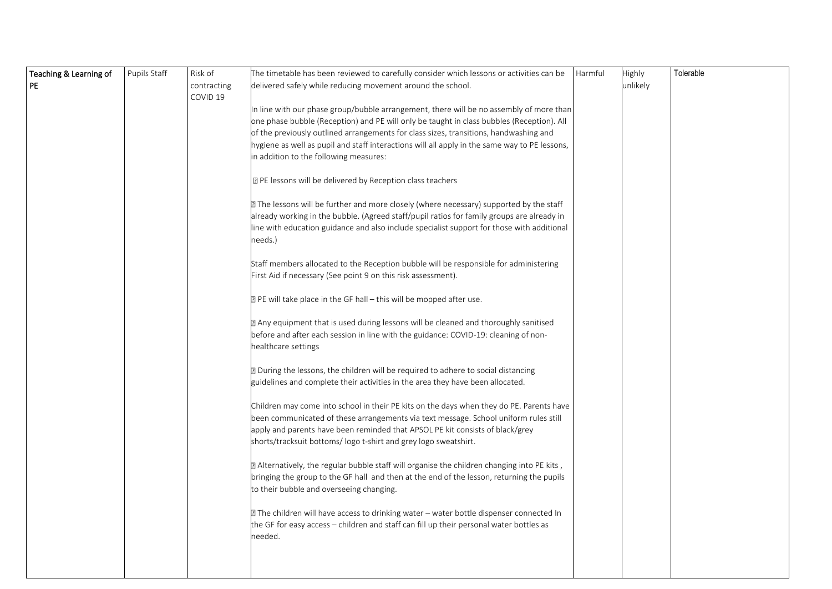| Teaching & Learning of | Pupils Staff | Risk of             | The timetable has been reviewed to carefully consider which lessons or activities can be      | Harmful | Highly   | Tolerable |
|------------------------|--------------|---------------------|-----------------------------------------------------------------------------------------------|---------|----------|-----------|
| <b>PE</b>              |              | contracting         | delivered safely while reducing movement around the school.                                   |         | unlikely |           |
|                        |              | COVID <sub>19</sub> |                                                                                               |         |          |           |
|                        |              |                     | In line with our phase group/bubble arrangement, there will be no assembly of more than       |         |          |           |
|                        |              |                     | one phase bubble (Reception) and PE will only be taught in class bubbles (Reception). All     |         |          |           |
|                        |              |                     | of the previously outlined arrangements for class sizes, transitions, handwashing and         |         |          |           |
|                        |              |                     | hygiene as well as pupil and staff interactions will all apply in the same way to PE lessons, |         |          |           |
|                        |              |                     | in addition to the following measures:                                                        |         |          |           |
|                        |              |                     | sqrtPPE lessons will be delivered by Reception class teachers                                 |         |          |           |
|                        |              |                     | 2 The lessons will be further and more closely (where necessary) supported by the staff       |         |          |           |
|                        |              |                     | already working in the bubble. (Agreed staff/pupil ratios for family groups are already in    |         |          |           |
|                        |              |                     | line with education guidance and also include specialist support for those with additional    |         |          |           |
|                        |              |                     | needs.)                                                                                       |         |          |           |
|                        |              |                     | Staff members allocated to the Reception bubble will be responsible for administering         |         |          |           |
|                        |              |                     | First Aid if necessary (See point 9 on this risk assessment).                                 |         |          |           |
|                        |              |                     |                                                                                               |         |          |           |
|                        |              |                     | <b>E</b> PE will take place in the GF hall – this will be mopped after use.                   |         |          |           |
|                        |              |                     | 2 Any equipment that is used during lessons will be cleaned and thoroughly sanitised          |         |          |           |
|                        |              |                     | before and after each session in line with the guidance: COVID-19: cleaning of non-           |         |          |           |
|                        |              |                     | healthcare settings                                                                           |         |          |           |
|                        |              |                     | 7 During the lessons, the children will be required to adhere to social distancing            |         |          |           |
|                        |              |                     | guidelines and complete their activities in the area they have been allocated.                |         |          |           |
|                        |              |                     | Children may come into school in their PE kits on the days when they do PE. Parents have      |         |          |           |
|                        |              |                     | been communicated of these arrangements via text message. School uniform rules still          |         |          |           |
|                        |              |                     | apply and parents have been reminded that APSOL PE kit consists of black/grey                 |         |          |           |
|                        |              |                     | shorts/tracksuit bottoms/ logo t-shirt and grey logo sweatshirt.                              |         |          |           |
|                        |              |                     | 2 Alternatively, the regular bubble staff will organise the children changing into PE kits,   |         |          |           |
|                        |              |                     | bringing the group to the GF hall and then at the end of the lesson, returning the pupils     |         |          |           |
|                        |              |                     | to their bubble and overseeing changing.                                                      |         |          |           |
|                        |              |                     | 7 The children will have access to drinking water - water bottle dispenser connected In       |         |          |           |
|                        |              |                     | the GF for easy access - children and staff can fill up their personal water bottles as       |         |          |           |
|                        |              |                     | needed.                                                                                       |         |          |           |
|                        |              |                     |                                                                                               |         |          |           |
|                        |              |                     |                                                                                               |         |          |           |
|                        |              |                     |                                                                                               |         |          |           |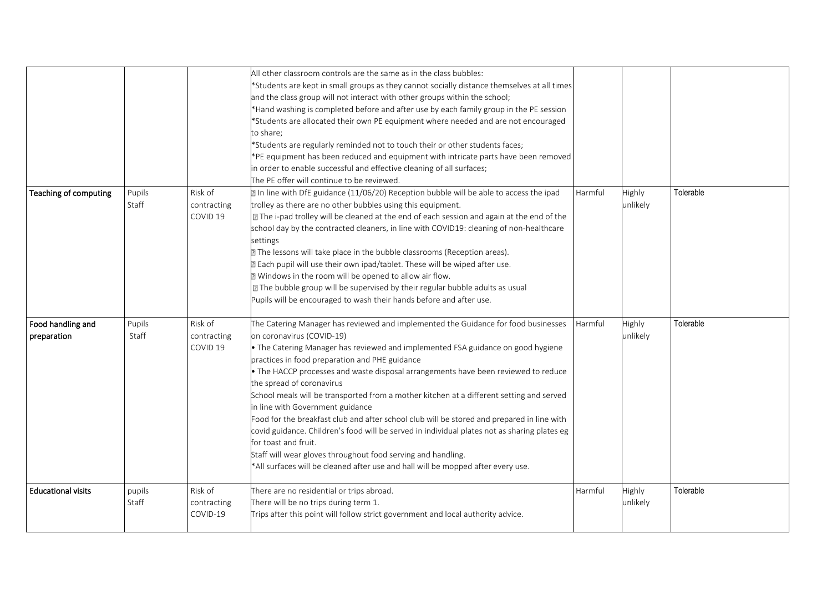|                                  |                 |                                    | All other classroom controls are the same as in the class bubbles:<br>*Students are kept in small groups as they cannot socially distance themselves at all times<br>and the class group will not interact with other groups within the school;<br>*Hand washing is completed before and after use by each family group in the PE session<br>'Students are allocated their own PE equipment where needed and are not encouraged<br>o share;<br>*Students are regularly reminded not to touch their or other students faces;<br>*PE equipment has been reduced and equipment with intricate parts have been removed<br>in order to enable successful and effective cleaning of all surfaces;<br>The PE offer will continue to be reviewed.                                                                                                                                         |         |                    |           |
|----------------------------------|-----------------|------------------------------------|-----------------------------------------------------------------------------------------------------------------------------------------------------------------------------------------------------------------------------------------------------------------------------------------------------------------------------------------------------------------------------------------------------------------------------------------------------------------------------------------------------------------------------------------------------------------------------------------------------------------------------------------------------------------------------------------------------------------------------------------------------------------------------------------------------------------------------------------------------------------------------------|---------|--------------------|-----------|
| Teaching of computing            | Pupils<br>Staff | Risk of<br>contracting<br>COVID 19 | In line with DfE guidance (11/06/20) Reception bubble will be able to access the ipad<br>rolley as there are no other bubbles using this equipment.<br>7 The i-pad trolley will be cleaned at the end of each session and again at the end of the<br>school day by the contracted cleaners, in line with COVID19: cleaning of non-healthcare<br>settings<br>I The lessons will take place in the bubble classrooms (Reception areas).<br>I Each pupil will use their own ipad/tablet. These will be wiped after use.<br>I Windows in the room will be opened to allow air flow.<br>7 The bubble group will be supervised by their regular bubble adults as usual<br>Pupils will be encouraged to wash their hands before and after use.                                                                                                                                           | Harmful | Highly<br>unlikely | Tolerable |
| Food handling and<br>preparation | Pupils<br>Staff | Risk of<br>contracting<br>COVID 19 | The Catering Manager has reviewed and implemented the Guidance for food businesses<br>on coronavirus (COVID-19)<br>• The Catering Manager has reviewed and implemented FSA guidance on good hygiene<br>practices in food preparation and PHE guidance<br>. The HACCP processes and waste disposal arrangements have been reviewed to reduce<br>the spread of coronavirus<br>School meals will be transported from a mother kitchen at a different setting and served<br>in line with Government guidance<br>ood for the breakfast club and after school club will be stored and prepared in line with<br>covid guidance. Children's food will be served in individual plates not as sharing plates eg<br>for toast and fruit.<br>Staff will wear gloves throughout food serving and handling.<br>*All surfaces will be cleaned after use and hall will be mopped after every use. | Harmful | Highly<br>unlikely | Tolerable |
| <b>Educational visits</b>        | pupils<br>Staff | Risk of<br>contracting<br>COVID-19 | There are no residential or trips abroad.<br>There will be no trips during term 1.<br>Trips after this point will follow strict government and local authority advice.                                                                                                                                                                                                                                                                                                                                                                                                                                                                                                                                                                                                                                                                                                            | Harmful | Highly<br>unlikely | Tolerable |